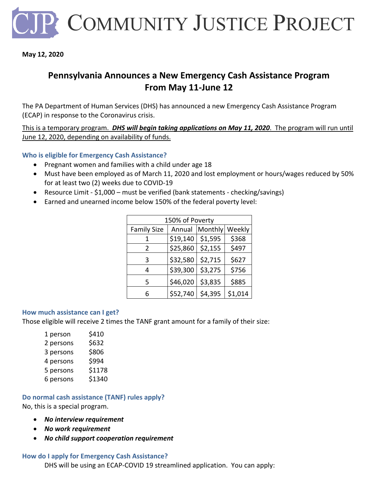

**May 12, 2020**

## **Pennsylvania Announces a New Emergency Cash Assistance Program From May 11-June 12**

The PA Department of Human Services (DHS) has announced a new Emergency Cash Assistance Program (ECAP) in response to the Coronavirus crisis.

This is a temporary program. *DHS will begin taking applications on May 11, 2020*. The program will run until June 12, 2020, depending on availability of funds.

## **Who is eligible for Emergency Cash Assistance?**

- Pregnant women and families with a child under age 18
- Must have been employed as of March 11, 2020 and lost employment or hours/wages reduced by 50% for at least two (2) weeks due to COVID-19
- Resource Limit \$1,000 must be verified (bank statements checking/savings)
- Earned and unearned income below 150% of the federal poverty level:

| 150% of Poverty    |          |         |         |
|--------------------|----------|---------|---------|
| <b>Family Size</b> | Annual   | Monthly | Weekly  |
| 1                  | \$19,140 | \$1,595 | \$368   |
| 2                  | \$25,860 | \$2,155 | \$497   |
| 3                  | \$32,580 | \$2,715 | \$627   |
| 4                  | \$39,300 | \$3,275 | \$756   |
| 5                  | \$46,020 | \$3,835 | \$885   |
| 6                  | \$52,740 | \$4,395 | \$1,014 |

### **How much assistance can I get?**

Those eligible will receive 2 times the TANF grant amount for a family of their size:

| 1 person  | \$410  |
|-----------|--------|
| 2 persons | \$632  |
| 3 persons | \$806  |
| 4 persons | \$994  |
| 5 persons | \$1178 |
| 6 persons | \$1340 |

# **Do normal cash assistance (TANF) rules apply?**

No, this is a special program.

- *No interview requirement*
- *No work requirement*
- *No child support cooperation requirement*

## **How do I apply for Emergency Cash Assistance?**

DHS will be using an ECAP-COVID 19 streamlined application. You can apply: